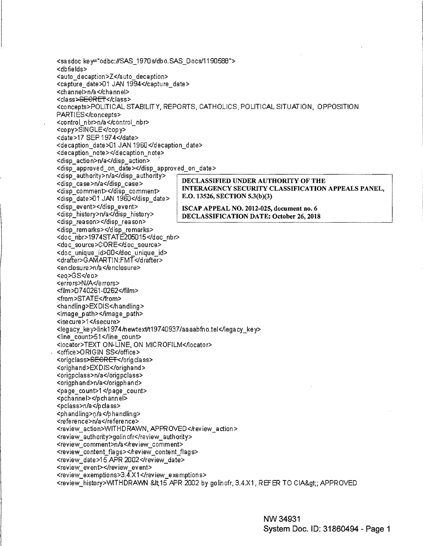<sasdoc key="odbc://SAS\_1970s/dbo.SAS\_Docs/1190588"> <dbfields> <auto\_decaption>Z</auto\_decaption> <capture\_date>01 JAN 1994</capture\_date> <channel>n/a</channel> <class><del>SECRET</del></class> <concepts>POLITICAL STABILITY, REPORTS, CATHOLICS, POLITICAL SITUATION, OPPOSITION PARTIES</concepts> <control\_nbr>n/a</control\_nbr> <copy>SINGLE</copy> <date>17 SEP 1974</date> <decaption date>01 JAN 1960</decaption date> <decaption\_note></decaption\_note> <disp action>n/a</disp action> <disp\_approved\_on\_date></disp\_approved\_on\_date> <disp authority>n/a≺/disp authority> DECLASSIFIED UNDER AUTHORITY OF THE <disp case>n/a</disp case> INTERAGENCY SECURITY CLASSIFICATION APPEALS PANEL, <disp comment></disp comment> E.O. 13526, SECTION 5.3(b)(3) <disp date>01 JAN 1960</disp date> <disp event></disp event> ISCAP APPEAL NO. 2012-025, document no. 6 <disp\_history>n/a</disp\_history> DECLASSIFICATION DATE: October 26, 2018 <disp reason></disp reason> <disp\_remarks></disp\_remarks> <doc\_nbr>1974STATE205015</doc\_nbr> <doc\_source>CORE</doc\_source> <doc unique id>00</doc unique id> <drafter>GAMARTIN:FMT</drafter> <enclosure>n/a</enclosure> <eo>GS</eo> <errors>N/A</errors> <film>D740261-0262</film> <from>STATE</from> <handling>EXDIS</handling> <image\_path></image\_path> <isecure>1</isecure> <legacy key>link1974/hewtext/t19740937/aaaabfno.tel</legacy key> <line\_count>51</line\_count> <locator>TEXT ON-LINE, ON MICROFILM</locator> <office>ORIGIN SS</office> <origclass><del>SECRET</del></origclass> <orighand>EXDIS</orighand> <origpclass>n/a</origpclass> <origphand>n/a</origphand> <page\_count>1</page\_count> <pchannel></pchannel> <pclass>n/a</pclass> <phandling>n/a</phandling> <reference>n/a</reference> <review\_action>WITHDRAWN, APPROVED</review\_action> <review\_authority>golinofr</review\_authority> <review\_comment>n/a</review\_comment> <review\_content\_flags></review\_content\_flags> <review date>15 APR 2002</review date> <review\_event></review\_event> <review\_exemptions>3.4.X1</review\_exemptions> <review\_history>WITHDRAWN\_&lt;15\_APR\_2002\_by\_golinofr, 3.4.X1, REFER\_TO\_CIA&gt;; APPROVED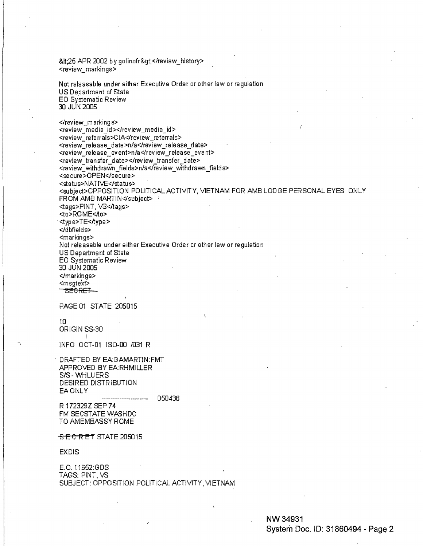<25 APR 2002 by golinofr&gt;</review\_history> <review\_markings>

Not releasable under either Executive Order or other law or regulation US Department of State EO Systematic Review 30 JUN 2005

</review\_markings> <review\_media\_id></review\_media\_id> <review referrals>CIA</review referrals> <review-release date>n/a</revlew release date> <review\_release\_event>n/a </review\_release\_event> <review transfer date></rev iew transfer date> <review withdrawn fields>n/a</review withdrawn fields> <secure>OPEN</secure> <status>NATIVE</status> <subject>OPPOSITION POLITICAL ACTIVITY, VIETNAM FOR AMB LODGE PERSONAL EYES ONLY FROM AMB MARTIN $\triangleleft$ subject $\triangleright$  1 <tags>PINT, VS</tags> <to>ROME<to> <type>TE< $\lambda$ ype> </dbfields>  $<$ markings $>$ Not releasable under either Executive Order or other law or regulation US Department of State EO Systematic Review 30 JUN 2005 </markings> <msgtext> SECRET—

PAGE 01 STATE 205015

10 ORIGIN SS-30 f

INFO OCT-01 IS0-00 /031 R

DRAFTED BY EA:GAMARTIN:FMT APPROVED BY EA:RHMILLER S/S-WHLUERS DESIRED DISTRIBUTION EA ONLY

050438 R 172329Z SEP 7 4 FM SECSTATE WASHDC TO AMEMBASSY ROME

 $S$   $E$   $C$   $R$   $E$   $T$  STATE 205015

EXDIS

E.O. 11652:GDS TAGS: PINT, VS SUBJECT: OPPOSITION POLITICAL ACTIVITY, VIETNAM